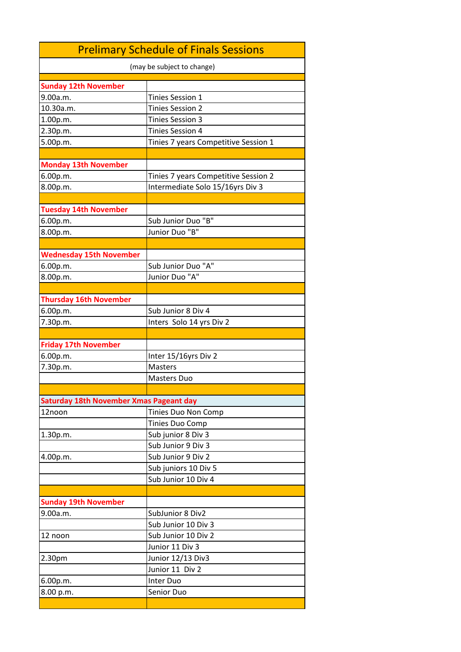| (may be subject to change)<br><b>Sunday 12th November</b><br>Tinies Session 1<br>9.00a.m.<br><b>Tinies Session 2</b><br>10.30a.m.<br><b>Tinies Session 3</b><br>1.00p.m.<br>2.30p.m.<br><b>Tinies Session 4</b><br>5.00p.m.<br>Tinies 7 years Competitive Session 1<br><b>Monday 13th November</b><br>Tinies 7 years Competitive Session 2<br>6.00p.m.<br>8.00p.m.<br>Intermediate Solo 15/16yrs Div 3<br><b>Tuesday 14th November</b><br>Sub Junior Duo "B"<br>6.00p.m.<br>Junior Duo "B"<br>8.00p.m.<br><b>Wednesday 15th November</b><br>Sub Junior Duo "A"<br>6.00p.m.<br>Junior Duo "A"<br>8.00p.m.<br><b>Thursday 16th November</b><br>Sub Junior 8 Div 4<br>6.00p.m.<br>Inters Solo 14 yrs Div 2<br>7.30p.m.<br><b>Friday 17th November</b><br>6.00p.m.<br>Inter 15/16yrs Div 2<br>7.30p.m.<br><b>Masters</b><br><b>Masters Duo</b><br>Saturday 18th November Xmas Pageant day<br>12noon<br>Tinies Duo Non Comp<br>Tinies Duo Comp<br>Sub junior 8 Div 3<br>1.30p.m.<br>Sub Junior 9 Div 3<br>Sub Junior 9 Div 2<br>4.00p.m.<br>Sub juniors 10 Div 5<br>Sub Junior 10 Div 4<br><b>Sunday 19th November</b><br>9.00a.m.<br>SubJunior 8 Div2<br>Sub Junior 10 Div 3<br>Sub Junior 10 Div 2<br>12 noon<br>Junior 11 Div 3<br>Junior 12/13 Div3<br>2.30pm<br>Junior 11 Div 2<br>Inter Duo<br>6.00p.m.<br>Senior Duo<br>8.00 p.m. | <b>Prelimary Schedule of Finals Sessions</b> |  |  |
|-------------------------------------------------------------------------------------------------------------------------------------------------------------------------------------------------------------------------------------------------------------------------------------------------------------------------------------------------------------------------------------------------------------------------------------------------------------------------------------------------------------------------------------------------------------------------------------------------------------------------------------------------------------------------------------------------------------------------------------------------------------------------------------------------------------------------------------------------------------------------------------------------------------------------------------------------------------------------------------------------------------------------------------------------------------------------------------------------------------------------------------------------------------------------------------------------------------------------------------------------------------------------------------------------------------------------------------|----------------------------------------------|--|--|
|                                                                                                                                                                                                                                                                                                                                                                                                                                                                                                                                                                                                                                                                                                                                                                                                                                                                                                                                                                                                                                                                                                                                                                                                                                                                                                                                     |                                              |  |  |
|                                                                                                                                                                                                                                                                                                                                                                                                                                                                                                                                                                                                                                                                                                                                                                                                                                                                                                                                                                                                                                                                                                                                                                                                                                                                                                                                     |                                              |  |  |
|                                                                                                                                                                                                                                                                                                                                                                                                                                                                                                                                                                                                                                                                                                                                                                                                                                                                                                                                                                                                                                                                                                                                                                                                                                                                                                                                     |                                              |  |  |
|                                                                                                                                                                                                                                                                                                                                                                                                                                                                                                                                                                                                                                                                                                                                                                                                                                                                                                                                                                                                                                                                                                                                                                                                                                                                                                                                     |                                              |  |  |
|                                                                                                                                                                                                                                                                                                                                                                                                                                                                                                                                                                                                                                                                                                                                                                                                                                                                                                                                                                                                                                                                                                                                                                                                                                                                                                                                     |                                              |  |  |
|                                                                                                                                                                                                                                                                                                                                                                                                                                                                                                                                                                                                                                                                                                                                                                                                                                                                                                                                                                                                                                                                                                                                                                                                                                                                                                                                     |                                              |  |  |
|                                                                                                                                                                                                                                                                                                                                                                                                                                                                                                                                                                                                                                                                                                                                                                                                                                                                                                                                                                                                                                                                                                                                                                                                                                                                                                                                     |                                              |  |  |
|                                                                                                                                                                                                                                                                                                                                                                                                                                                                                                                                                                                                                                                                                                                                                                                                                                                                                                                                                                                                                                                                                                                                                                                                                                                                                                                                     |                                              |  |  |
|                                                                                                                                                                                                                                                                                                                                                                                                                                                                                                                                                                                                                                                                                                                                                                                                                                                                                                                                                                                                                                                                                                                                                                                                                                                                                                                                     |                                              |  |  |
|                                                                                                                                                                                                                                                                                                                                                                                                                                                                                                                                                                                                                                                                                                                                                                                                                                                                                                                                                                                                                                                                                                                                                                                                                                                                                                                                     |                                              |  |  |
|                                                                                                                                                                                                                                                                                                                                                                                                                                                                                                                                                                                                                                                                                                                                                                                                                                                                                                                                                                                                                                                                                                                                                                                                                                                                                                                                     |                                              |  |  |
|                                                                                                                                                                                                                                                                                                                                                                                                                                                                                                                                                                                                                                                                                                                                                                                                                                                                                                                                                                                                                                                                                                                                                                                                                                                                                                                                     |                                              |  |  |
|                                                                                                                                                                                                                                                                                                                                                                                                                                                                                                                                                                                                                                                                                                                                                                                                                                                                                                                                                                                                                                                                                                                                                                                                                                                                                                                                     |                                              |  |  |
|                                                                                                                                                                                                                                                                                                                                                                                                                                                                                                                                                                                                                                                                                                                                                                                                                                                                                                                                                                                                                                                                                                                                                                                                                                                                                                                                     |                                              |  |  |
|                                                                                                                                                                                                                                                                                                                                                                                                                                                                                                                                                                                                                                                                                                                                                                                                                                                                                                                                                                                                                                                                                                                                                                                                                                                                                                                                     |                                              |  |  |
|                                                                                                                                                                                                                                                                                                                                                                                                                                                                                                                                                                                                                                                                                                                                                                                                                                                                                                                                                                                                                                                                                                                                                                                                                                                                                                                                     |                                              |  |  |
|                                                                                                                                                                                                                                                                                                                                                                                                                                                                                                                                                                                                                                                                                                                                                                                                                                                                                                                                                                                                                                                                                                                                                                                                                                                                                                                                     |                                              |  |  |
|                                                                                                                                                                                                                                                                                                                                                                                                                                                                                                                                                                                                                                                                                                                                                                                                                                                                                                                                                                                                                                                                                                                                                                                                                                                                                                                                     |                                              |  |  |
|                                                                                                                                                                                                                                                                                                                                                                                                                                                                                                                                                                                                                                                                                                                                                                                                                                                                                                                                                                                                                                                                                                                                                                                                                                                                                                                                     |                                              |  |  |
|                                                                                                                                                                                                                                                                                                                                                                                                                                                                                                                                                                                                                                                                                                                                                                                                                                                                                                                                                                                                                                                                                                                                                                                                                                                                                                                                     |                                              |  |  |
|                                                                                                                                                                                                                                                                                                                                                                                                                                                                                                                                                                                                                                                                                                                                                                                                                                                                                                                                                                                                                                                                                                                                                                                                                                                                                                                                     |                                              |  |  |
|                                                                                                                                                                                                                                                                                                                                                                                                                                                                                                                                                                                                                                                                                                                                                                                                                                                                                                                                                                                                                                                                                                                                                                                                                                                                                                                                     |                                              |  |  |
|                                                                                                                                                                                                                                                                                                                                                                                                                                                                                                                                                                                                                                                                                                                                                                                                                                                                                                                                                                                                                                                                                                                                                                                                                                                                                                                                     |                                              |  |  |
|                                                                                                                                                                                                                                                                                                                                                                                                                                                                                                                                                                                                                                                                                                                                                                                                                                                                                                                                                                                                                                                                                                                                                                                                                                                                                                                                     |                                              |  |  |
|                                                                                                                                                                                                                                                                                                                                                                                                                                                                                                                                                                                                                                                                                                                                                                                                                                                                                                                                                                                                                                                                                                                                                                                                                                                                                                                                     |                                              |  |  |
|                                                                                                                                                                                                                                                                                                                                                                                                                                                                                                                                                                                                                                                                                                                                                                                                                                                                                                                                                                                                                                                                                                                                                                                                                                                                                                                                     |                                              |  |  |
|                                                                                                                                                                                                                                                                                                                                                                                                                                                                                                                                                                                                                                                                                                                                                                                                                                                                                                                                                                                                                                                                                                                                                                                                                                                                                                                                     |                                              |  |  |
|                                                                                                                                                                                                                                                                                                                                                                                                                                                                                                                                                                                                                                                                                                                                                                                                                                                                                                                                                                                                                                                                                                                                                                                                                                                                                                                                     |                                              |  |  |
|                                                                                                                                                                                                                                                                                                                                                                                                                                                                                                                                                                                                                                                                                                                                                                                                                                                                                                                                                                                                                                                                                                                                                                                                                                                                                                                                     |                                              |  |  |
|                                                                                                                                                                                                                                                                                                                                                                                                                                                                                                                                                                                                                                                                                                                                                                                                                                                                                                                                                                                                                                                                                                                                                                                                                                                                                                                                     |                                              |  |  |
|                                                                                                                                                                                                                                                                                                                                                                                                                                                                                                                                                                                                                                                                                                                                                                                                                                                                                                                                                                                                                                                                                                                                                                                                                                                                                                                                     |                                              |  |  |
|                                                                                                                                                                                                                                                                                                                                                                                                                                                                                                                                                                                                                                                                                                                                                                                                                                                                                                                                                                                                                                                                                                                                                                                                                                                                                                                                     |                                              |  |  |
|                                                                                                                                                                                                                                                                                                                                                                                                                                                                                                                                                                                                                                                                                                                                                                                                                                                                                                                                                                                                                                                                                                                                                                                                                                                                                                                                     |                                              |  |  |
|                                                                                                                                                                                                                                                                                                                                                                                                                                                                                                                                                                                                                                                                                                                                                                                                                                                                                                                                                                                                                                                                                                                                                                                                                                                                                                                                     |                                              |  |  |
|                                                                                                                                                                                                                                                                                                                                                                                                                                                                                                                                                                                                                                                                                                                                                                                                                                                                                                                                                                                                                                                                                                                                                                                                                                                                                                                                     |                                              |  |  |
|                                                                                                                                                                                                                                                                                                                                                                                                                                                                                                                                                                                                                                                                                                                                                                                                                                                                                                                                                                                                                                                                                                                                                                                                                                                                                                                                     |                                              |  |  |
|                                                                                                                                                                                                                                                                                                                                                                                                                                                                                                                                                                                                                                                                                                                                                                                                                                                                                                                                                                                                                                                                                                                                                                                                                                                                                                                                     |                                              |  |  |
|                                                                                                                                                                                                                                                                                                                                                                                                                                                                                                                                                                                                                                                                                                                                                                                                                                                                                                                                                                                                                                                                                                                                                                                                                                                                                                                                     |                                              |  |  |
|                                                                                                                                                                                                                                                                                                                                                                                                                                                                                                                                                                                                                                                                                                                                                                                                                                                                                                                                                                                                                                                                                                                                                                                                                                                                                                                                     |                                              |  |  |
|                                                                                                                                                                                                                                                                                                                                                                                                                                                                                                                                                                                                                                                                                                                                                                                                                                                                                                                                                                                                                                                                                                                                                                                                                                                                                                                                     |                                              |  |  |
|                                                                                                                                                                                                                                                                                                                                                                                                                                                                                                                                                                                                                                                                                                                                                                                                                                                                                                                                                                                                                                                                                                                                                                                                                                                                                                                                     |                                              |  |  |
|                                                                                                                                                                                                                                                                                                                                                                                                                                                                                                                                                                                                                                                                                                                                                                                                                                                                                                                                                                                                                                                                                                                                                                                                                                                                                                                                     |                                              |  |  |
|                                                                                                                                                                                                                                                                                                                                                                                                                                                                                                                                                                                                                                                                                                                                                                                                                                                                                                                                                                                                                                                                                                                                                                                                                                                                                                                                     |                                              |  |  |
|                                                                                                                                                                                                                                                                                                                                                                                                                                                                                                                                                                                                                                                                                                                                                                                                                                                                                                                                                                                                                                                                                                                                                                                                                                                                                                                                     |                                              |  |  |
|                                                                                                                                                                                                                                                                                                                                                                                                                                                                                                                                                                                                                                                                                                                                                                                                                                                                                                                                                                                                                                                                                                                                                                                                                                                                                                                                     |                                              |  |  |
|                                                                                                                                                                                                                                                                                                                                                                                                                                                                                                                                                                                                                                                                                                                                                                                                                                                                                                                                                                                                                                                                                                                                                                                                                                                                                                                                     |                                              |  |  |
|                                                                                                                                                                                                                                                                                                                                                                                                                                                                                                                                                                                                                                                                                                                                                                                                                                                                                                                                                                                                                                                                                                                                                                                                                                                                                                                                     |                                              |  |  |